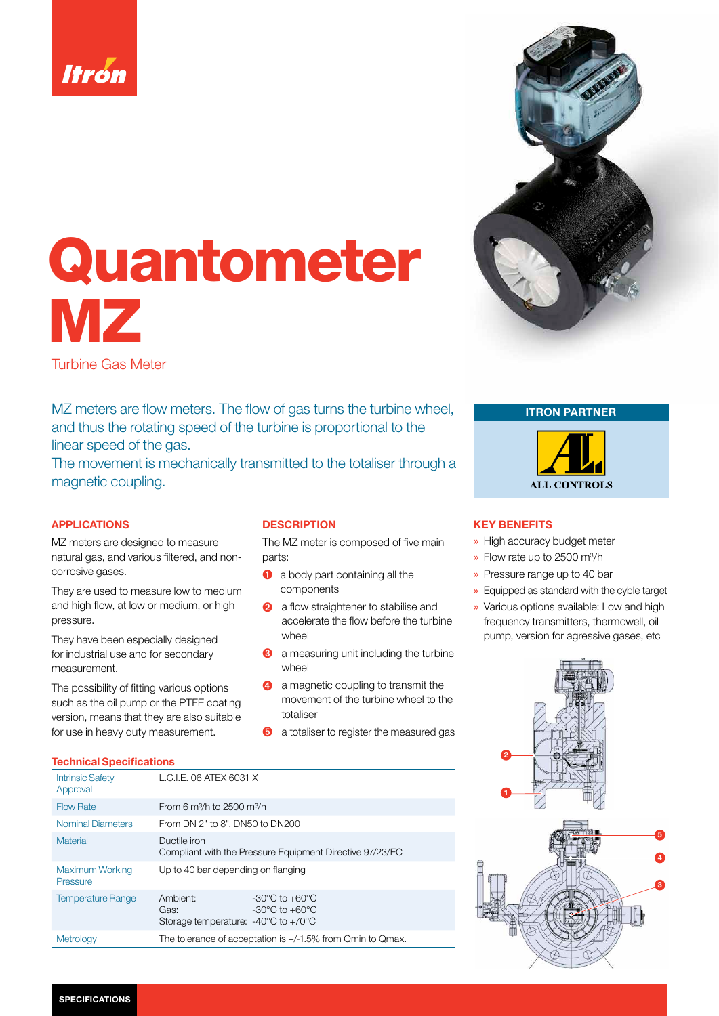

# Quantometer MZ

Turbine Gas Meter

MZ meters are flow meters. The flow of gas turns the turbine wheel, and thus the rotating speed of the turbine is proportional to the linear speed of the gas.

The movement is mechanically transmitted to the totaliser through a magnetic coupling.

### APPLICATIONS

MZ meters are designed to measure natural gas, and various filtered, and noncorrosive gases.

They are used to measure low to medium and high flow, at low or medium, or high pressure.

They have been especially designed for industrial use and for secondary measurement.

The possibility of fitting various options such as the oil pump or the PTFE coating version, means that they are also suitable for use in heavy duty measurement.

#### Technical Specifications

## **DESCRIPTION**

The MZ meter is composed of five main parts:

- **a** a body part containing all the components
- **2** a flow straightener to stabilise and accelerate the flow before the turbine wheel
- ➌ a measuring unit including the turbine wheel
- **4** a magnetic coupling to transmit the movement of the turbine wheel to the totaliser
- ➎ a totaliser to register the measured gas

| <b>Intrinsic Safety</b><br>Approval | L.C.I.E. 06 ATEX 6031 X                                                                                                                                 |  |  |  |  |  |
|-------------------------------------|---------------------------------------------------------------------------------------------------------------------------------------------------------|--|--|--|--|--|
| <b>Flow Rate</b>                    | From 6 $m^3/h$ to 2500 $m^3/h$                                                                                                                          |  |  |  |  |  |
| <b>Nominal Diameters</b>            | From DN 2" to 8", DN50 to DN200                                                                                                                         |  |  |  |  |  |
| <b>Material</b>                     | Ductile iron<br>Compliant with the Pressure Equipment Directive 97/23/EC                                                                                |  |  |  |  |  |
| <b>Maximum Working</b><br>Pressure  | Up to 40 bar depending on flanging                                                                                                                      |  |  |  |  |  |
| <b>Temperature Range</b>            | Ambient:<br>$-30^{\circ}$ C to $+60^{\circ}$ C<br>$-30^{\circ}$ C to $+60^{\circ}$ C<br>Gas:<br>Storage temperature: $-40^{\circ}$ C to $+70^{\circ}$ C |  |  |  |  |  |
| Metrology                           | The tolerance of acceptation is +/-1.5% from Qmin to Qmax.                                                                                              |  |  |  |  |  |



ITRON PARTNER



#### KEY BENEFITS

- » High accuracy budget meter
- $\ast$  Flow rate up to 2500 m<sup>3</sup>/h
- » Pressure range up to 40 bar
- » Equipped as standard with the cyble target
- » Various options available: Low and high frequency transmitters, thermowell, oil pump, version for agressive gases, etc

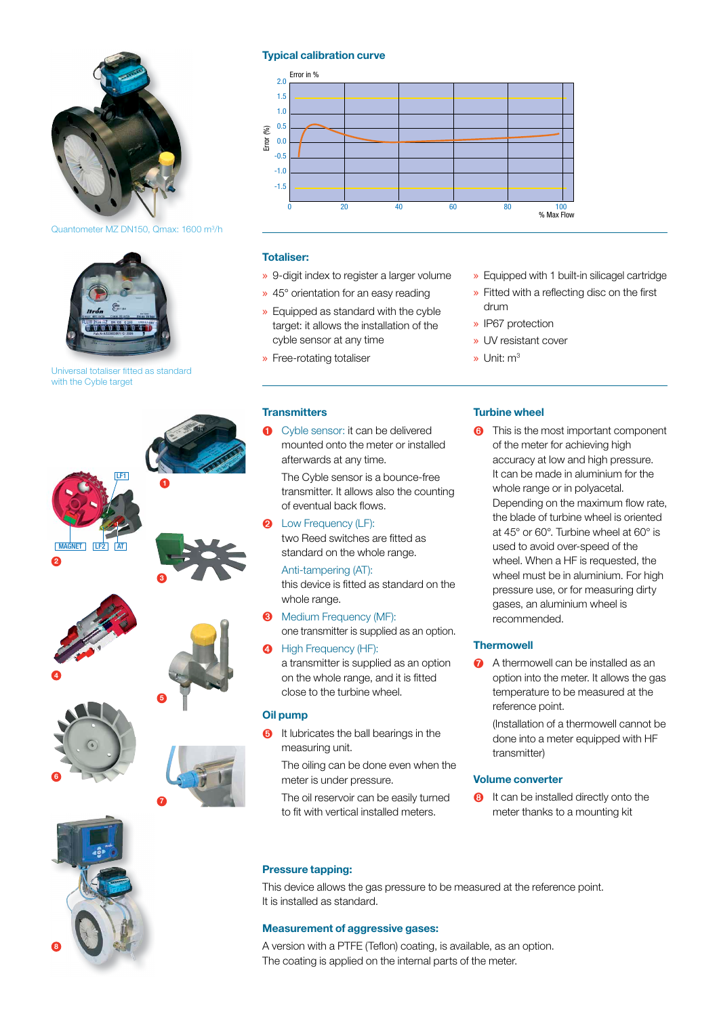

#### Typical calibration curve



#### Totaliser:

- » 9-digit index to register a larger volume
- » 45° orientation for an easy reading
- » Equipped as standard with the cyble target: it allows the installation of the cyble sensor at any time
- » Free-rotating totaliser
- **Transmitters**
- ➊ Cyble sensor: it can be delivered mounted onto the meter or installed afterwards at any time.

 The Cyble sensor is a bounce-free transmitter. It allows also the counting of eventual back flows.

**Q** Low Frequency (LF): two Reed switches are fitted as standard on the whole range.

Anti-tampering (AT): this device is fitted as standard on the whole range.

- Medium Frequency (MF): one transmitter is supplied as an option.
- High Frequency (HF): a transmitter is supplied as an option on the whole range, and it is fitted close to the turbine wheel.

#### Oil pump

**O** It lubricates the ball bearings in the measuring unit.

 The oiling can be done even when the meter is under pressure.

 The oil reservoir can be easily turned to fit with vertical installed meters.

- » Equipped with 1 built-in silicagel cartridge
- $\triangleright$  Fitted with a reflecting disc on the first drum
- » IP67 protection
- » UV resistant cover
- » Unit: m3

## Turbine wheel

**o** This is the most important component of the meter for achieving high accuracy at low and high pressure. It can be made in aluminium for the whole range or in polyacetal. Depending on the maximum flow rate, the blade of turbine wheel is oriented at 45° or 60°. Turbine wheel at 60° is used to avoid over-speed of the wheel. When a HF is requested, the wheel must be in aluminium. For high pressure use, or for measuring dirty gases, an aluminium wheel is recommended.

#### **Thermowell**

A thermowell can be installed as an option into the meter. It allows the gas temperature to be measured at the reference point.

 (Installation of a thermowell cannot be done into a meter equipped with HF transmitter)

#### Volume converter

**a** It can be installed directly onto the meter thanks to a mounting kit

#### Pressure tapping:

This device allows the gas pressure to be measured at the reference point. It is installed as standard.

#### Measurement of aggressive gases:

A version with a PTFE (Teflon) coating, is available, as an option. The coating is applied on the internal parts of the meter.

Quantometer MZ DN150, Qmax: 1600 m<sup>3</sup>/h



Universal totaliser fitted as standard with the Cyble target



8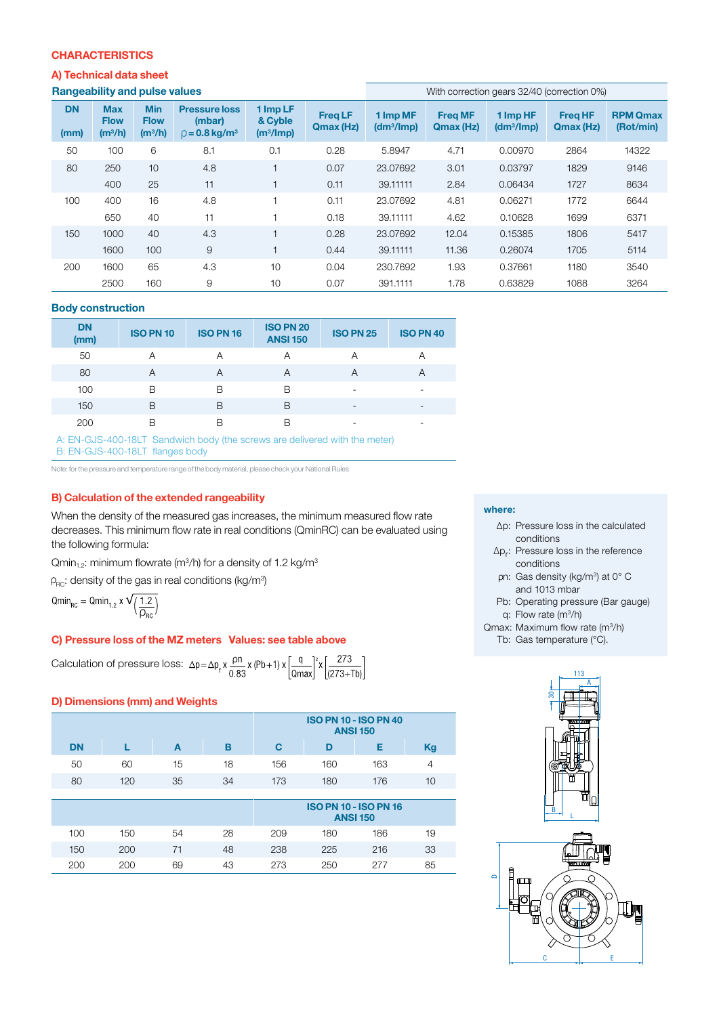#### **CHARACTERISTICS**

#### A) Technical data sheet

| <b>Rangeability and pulse value</b> |  |  |
|-------------------------------------|--|--|
|                                     |  |  |

| <b>Rangeability and pulse values</b> |                                        |                                        |                                                                   | With correction gears 32/40 (correction 0%)  |                             |                                    |                             |                                    |                             |                              |
|--------------------------------------|----------------------------------------|----------------------------------------|-------------------------------------------------------------------|----------------------------------------------|-----------------------------|------------------------------------|-----------------------------|------------------------------------|-----------------------------|------------------------------|
| <b>DN</b><br>(mm)                    | <b>Max</b><br><b>Flow</b><br>$(m^3/h)$ | <b>Min</b><br><b>Flow</b><br>$(m^3/h)$ | <b>Pressure loss</b><br>(mbar)<br>$\beta$ = 0.8 kg/m <sup>3</sup> | 1 Imp LF<br>& Cyble<br>(m <sup>3</sup> /Imp) | <b>Freq LF</b><br>Qmax (Hz) | 1 Imp MF<br>(dm <sup>3</sup> /Imp) | <b>Freg MF</b><br>Qmax (Hz) | 1 Imp HF<br>(dm <sup>3</sup> /Imp) | <b>Freg HF</b><br>Qmax (Hz) | <b>RPM Qmax</b><br>(Rot/min) |
| 50                                   | 100                                    | 6                                      | 8.1                                                               | 0.1                                          | 0.28                        | 5.8947                             | 4.71                        | 0.00970                            | 2864                        | 14322                        |
| 80                                   | 250                                    | 10                                     | 4.8                                                               | $\mathbf{1}$                                 | 0.07                        | 23.07692                           | 3.01                        | 0.03797                            | 1829                        | 9146                         |
|                                      | 400                                    | 25                                     | 11                                                                |                                              | 0.11                        | 39.11111                           | 2.84                        | 0.06434                            | 1727                        | 8634                         |
| 100                                  | 400                                    | 16                                     | 4.8                                                               |                                              | 0.11                        | 23.07692                           | 4.81                        | 0.06271                            | 1772                        | 6644                         |
|                                      | 650                                    | 40                                     | 11                                                                |                                              | 0.18                        | 39.11111                           | 4.62                        | 0.10628                            | 1699                        | 6371                         |
| 150                                  | 1000                                   | 40                                     | 4.3                                                               |                                              | 0.28                        | 23.07692                           | 12.04                       | 0.15385                            | 1806                        | 5417                         |
|                                      | 1600                                   | 100                                    | 9                                                                 |                                              | 0.44                        | 39.11111                           | 11.36                       | 0.26074                            | 1705                        | 5114                         |
| 200                                  | 1600                                   | 65                                     | 4.3                                                               | 10                                           | 0.04                        | 230.7692                           | 1.93                        | 0.37661                            | 1180                        | 3540                         |
|                                      | 2500                                   | 160                                    | 9                                                                 | 10                                           | 0.07                        | 391.1111                           | 1.78                        | 0.63829                            | 1088                        | 3264                         |

#### Body construction

| <b>DN</b><br>(mm) | <b>ISO PN 10</b> | <b>ISO PN 16</b> | <b>ISO PN 20</b><br><b>ANSI 150</b> | <b>ISO PN 25</b> | <b>ISO PN 40</b> |
|-------------------|------------------|------------------|-------------------------------------|------------------|------------------|
| 50                | Α                | Α                | Α                                   | А                | Α                |
| 80                | A                | Α                | Α                                   | А                | Α                |
| 100               | в                | B                | B                                   | ۰                | ۰                |
| 150               | B                | B                | B                                   | -                | -                |
| 200               | В                | B                | B                                   | -                | -                |

A: EN-GJS-400-18LT Sandwich body (the screws are delivered with the meter) B: EN-GJS-400-18LT flanges body

Note: for the pressure and temperature range of the body material, please check your National Rules

#### B) Calculation of the extended rangeability

When the density of the measured gas increases, the minimum measured flow rate decreases. This minimum flow rate in real conditions (QminRC) can be evaluated using the following formula:

 $Qmin_{1.2}$ : minimum flowrate (m $3/$ h) for a density of 1.2 kg/m $3$ 

 $_{\rm RC}$ : density of the gas in real conditions (kg/m $^3$ )

 $\text{Qmin}_{\text{RC}} = \text{Qmin}_{1,2} \times \sqrt{\left(\frac{1.2}{\rho_{\text{RC}}}\right)}$ 

#### C) Pressure loss of the MZ meters Values: see table above

Calculation of pressure loss:  $\Delta p = \Delta p_r x \frac{\rho n}{0.83} x (Pb+1) x \left[ \frac{q}{\Omega max} \right]^2 x \left[ \frac{273}{(273+Tb)} \right]$ 

#### D) Dimensions (mm) and Weights

|           |     |    |    | <b>ISO PN 10 - ISO PN 40</b><br><b>ANSI 150</b> |     |     |    |
|-----------|-----|----|----|-------------------------------------------------|-----|-----|----|
| <b>DN</b> |     | A  | в  | С                                               | D   |     | Kg |
| 50        | 60  | 15 | 18 | 156                                             | 160 | 163 |    |
| 80        | 120 | 35 | 34 | 173                                             | 180 | 176 | 10 |

|     |     |    |    | <b>ISO PN 10 - ISO PN 16</b><br><b>ANSI 150</b> |     |     |    |
|-----|-----|----|----|-------------------------------------------------|-----|-----|----|
| 100 | 150 | 54 | 28 | 209                                             | 180 | 186 | 19 |
| 150 | 200 |    | 48 | 238                                             | 225 | 216 | 33 |
| 200 | 200 | 69 | 43 | 273                                             | 250 | 277 | 85 |

#### where:

- ∆p: Pressure loss in the calculated conditions
- ∆pr: Pressure loss in the reference conditions
- n: Gas density (kg/m<sup>3</sup>) at 0° C and 1013 mbar
- Pb: Operating pressure (Bar gauge) q: Flow rate (m3/h)
- Qmax: Maximum flow rate (m3/h)
	- Tb: Gas temperature (°C).